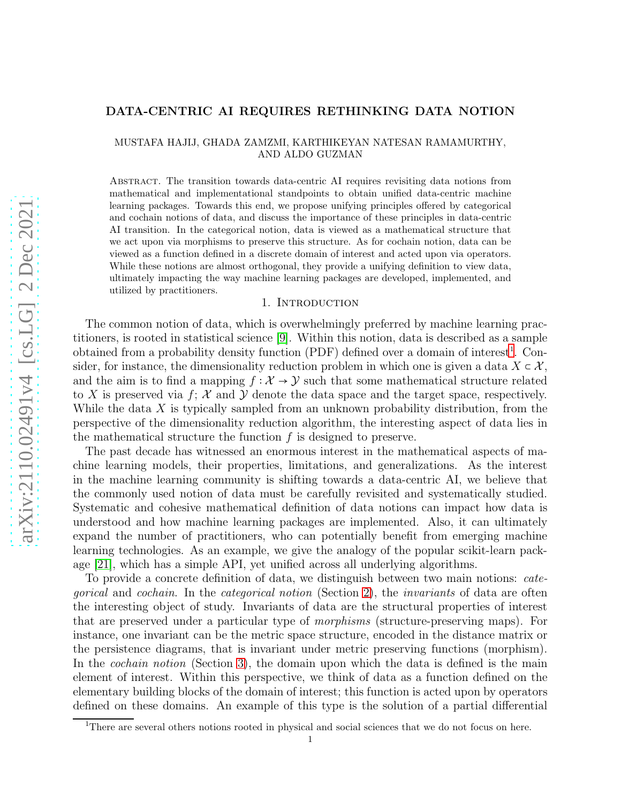# DATA-CENTRIC AI REQUIRES RETHINKING DATA NOTION

MUSTAFA HAJIJ, GHADA ZAMZMI, KARTHIKEYAN NATESAN RAMAMURTHY, AND ALDO GUZMAN

Abstract. The transition towards data-centric AI requires revisiting data notions from mathematical and implementational standpoints to obtain unified data-centric machine learning packages. Towards this end, we propose unifying principles offered by categorical and cochain notions of data, and discuss the importance of these principles in data-centric AI transition. In the categorical notion, data is viewed as a mathematical structure that we act upon via morphisms to preserve this structure. As for cochain notion, data can be viewed as a function defined in a discrete domain of interest and acted upon via operators. While these notions are almost orthogonal, they provide a unifying definition to view data, ultimately impacting the way machine learning packages are developed, implemented, and utilized by practitioners.

### 1. INTRODUCTION

The common notion of data, which is overwhelmingly preferred by machine learning practitioners, is rooted in statistical science [\[9\]](#page-5-0). Within this notion, data is described as a sample obtained from a probability density function  $(PDF)$  defined over a domain of interest<sup>[1](#page-0-0)</sup>. Consider, for instance, the dimensionality reduction problem in which one is given a data  $X \subset \mathcal{X}$ , and the aim is to find a mapping  $f : \mathcal{X} \to \mathcal{Y}$  such that some mathematical structure related to X is preserved via  $f: \mathcal{X}$  and Y denote the data space and the target space, respectively. While the data  $X$  is typically sampled from an unknown probability distribution, from the perspective of the dimensionality reduction algorithm, the interesting aspect of data lies in the mathematical structure the function  $f$  is designed to preserve.

The past decade has witnessed an enormous interest in the mathematical aspects of machine learning models, their properties, limitations, and generalizations. As the interest in the machine learning community is shifting towards a data-centric AI, we believe that the commonly used notion of data must be carefully revisited and systematically studied. Systematic and cohesive mathematical definition of data notions can impact how data is understood and how machine learning packages are implemented. Also, it can ultimately expand the number of practitioners, who can potentially benefit from emerging machine learning technologies. As an example, we give the analogy of the popular scikit-learn package [\[21\]](#page-5-1), which has a simple API, yet unified across all underlying algorithms.

To provide a concrete definition of data, we distinguish between two main notions: *categorical* and *cochain*. In the *categorical notion* (Section [2\)](#page-1-0), the *invariants* of data are often the interesting object of study. Invariants of data are the structural properties of interest that are preserved under a particular type of *morphisms* (structure-preserving maps). For instance, one invariant can be the metric space structure, encoded in the distance matrix or the persistence diagrams, that is invariant under metric preserving functions (morphism). In the *cochain notion* (Section [3\)](#page-2-0), the domain upon which the data is defined is the main element of interest. Within this perspective, we think of data as a function defined on the elementary building blocks of the domain of interest; this function is acted upon by operators defined on these domains. An example of this type is the solution of a partial differential

<span id="page-0-0"></span><sup>&</sup>lt;sup>1</sup>There are several others notions rooted in physical and social sciences that we do not focus on here.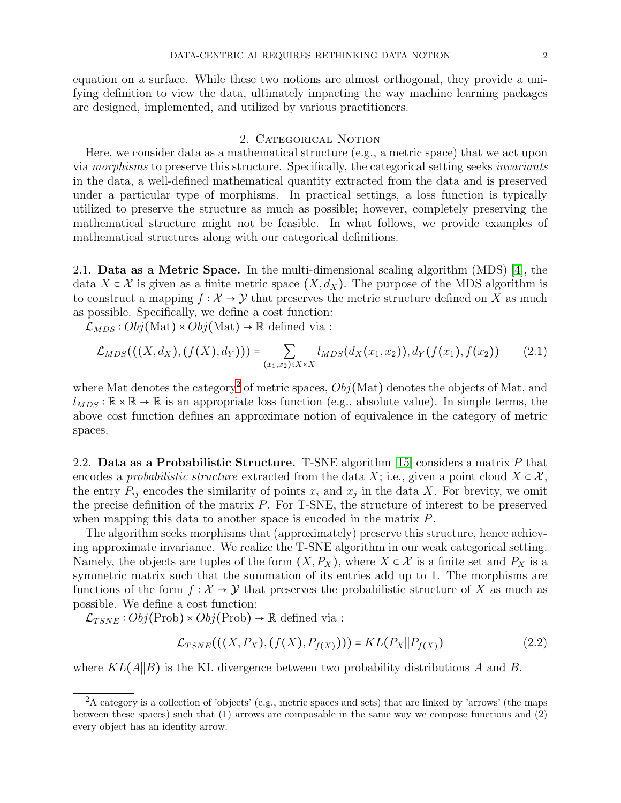equation on a surface. While these two notions are almost orthogonal, they provide a unifying definition to view the data, ultimately impacting the way machine learning packages are designed, implemented, and utilized by various practitioners.

# 2. Categorical Notion

<span id="page-1-0"></span>Here, we consider data as a mathematical structure (e.g., a metric space) that we act upon via *morphisms* to preserve this structure. Specifically, the categorical setting seeks *invariants* in the data, a well-defined mathematical quantity extracted from the data and is preserved under a particular type of morphisms. In practical settings, a loss function is typically utilized to preserve the structure as much as possible; however, completely preserving the mathematical structure might not be feasible. In what follows, we provide examples of mathematical structures along with our categorical definitions.

2.1. Data as a Metric Space. In the multi-dimensional scaling algorithm (MDS) [\[4\]](#page-5-2), the data  $X \subset \mathcal{X}$  is given as a finite metric space  $(X, d_X)$ . The purpose of the MDS algorithm is to construct a mapping  $f: \mathcal{X} \to \mathcal{Y}$  that preserves the metric structure defined on X as much as possible. Specifically, we define a cost function:

 $\mathcal{L}_{MDS} : Obj(\text{Mat}) \times Obj(\text{Mat}) \to \mathbb{R}$  defined via :

$$
\mathcal{L}_{MDS}(((X, d_X), (f(X), d_Y))) = \sum_{(x_1, x_2) \in X \times X} l_{MDS}(d_X(x_1, x_2)), d_Y(f(x_1), f(x_2)) \qquad (2.1)
$$

where Mat denotes the category<sup>[2](#page-1-1)</sup> of metric spaces,  $Obj(Mat)$  denotes the objects of Mat, and  $l_{MDS}$ :  $\mathbb{R} \times \mathbb{R} \to \mathbb{R}$  is an appropriate loss function (e.g., absolute value). In simple terms, the above cost function defines an approximate notion of equivalence in the category of metric spaces.

2.2. Data as a Probabilistic Structure. T-SNE algorithm [\[15\]](#page-5-3) considers a matrix P that encodes a *probabilistic structure* extracted from the data X; i.e., given a point cloud  $X \subset \mathcal{X}$ . the entry  $P_{ij}$  encodes the similarity of points  $x_i$  and  $x_j$  in the data X. For brevity, we omit the precise definition of the matrix P. For T-SNE, the structure of interest to be preserved when mapping this data to another space is encoded in the matrix P.

The algorithm seeks morphisms that (approximately) preserve this structure, hence achieving approximate invariance. We realize the T-SNE algorithm in our weak categorical setting. Namely, the objects are tuples of the form  $(X, P_X)$ , where  $X \subset \mathcal{X}$  is a finite set and  $P_X$  is a symmetric matrix such that the summation of its entries add up to 1. The morphisms are functions of the form  $f : \mathcal{X} \to \mathcal{Y}$  that preserves the probabilistic structure of X as much as possible. We define a cost function:

 $\mathcal{L}_{TSNE} : Obj(\text{Prob}) \times Obj(\text{Prob}) \rightarrow \mathbb{R}$  defined via :

$$
\mathcal{L}_{TSNE}(((X, P_X), (f(X), P_{f(X)}))) = KL(P_X || P_{f(X)})
$$
\n(2.2)

where  $KL(A||B)$  is the KL divergence between two probability distributions A and B.

<span id="page-1-1"></span><sup>&</sup>lt;sup>2</sup>A category is a collection of 'objects' (e.g., metric spaces and sets) that are linked by 'arrows' (the maps between these spaces) such that (1) arrows are composable in the same way we compose functions and (2) every object has an identity arrow.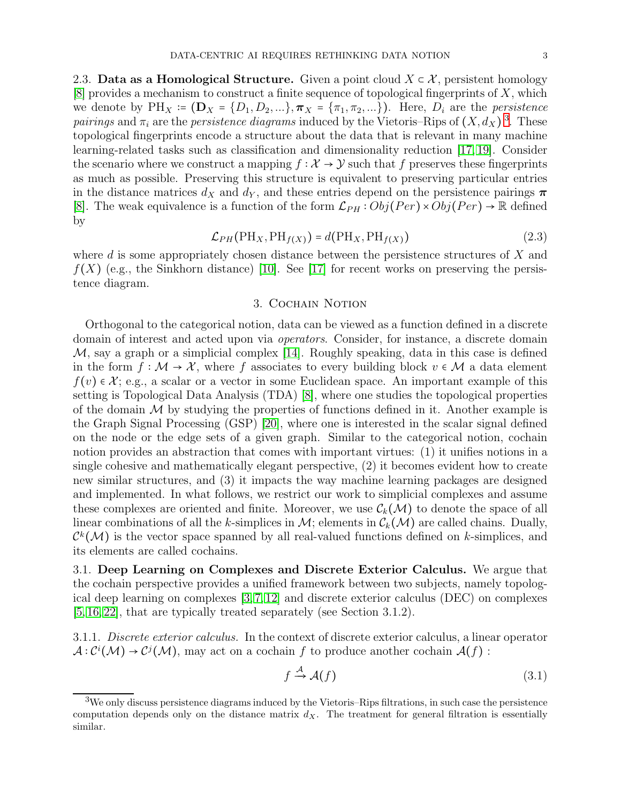2.3. Data as a Homological Structure. Given a point cloud  $X \subset \mathcal{X}$ , persistent homology  $[8]$  provides a mechanism to construct a finite sequence of topological fingerprints of X, which we denote by  $PH_X \coloneqq (\mathbf{D}_X = \{D_1, D_2, \ldots\}, \boldsymbol{\pi}_X = \{\pi_1, \pi_2, \ldots\})$ . Here,  $D_i$  are the *persistence* pairings and  $\pi_i$  are the *persistence diagrams* induced by the Vietoris–Rips of  $(X, d_X)$ <sup>[3](#page-2-1)</sup>. These topological fingerprints encode a structure about the data that is relevant in many machine learning-related tasks such as classification and dimensionality reduction [\[17,](#page-5-5) [19\]](#page-5-6). Consider the scenario where we construct a mapping  $f : \mathcal{X} \to \mathcal{Y}$  such that f preserves these fingerprints as much as possible. Preserving this structure is equivalent to preserving particular entries in the distance matrices  $d_X$  and  $d_Y$ , and these entries depend on the persistence pairings  $\pi$ [\[8\]](#page-5-4). The weak equivalence is a function of the form  $\mathcal{L}_{PH} : Obj(Per) \times Obj(Per) \rightarrow \mathbb{R}$  defined by

$$
\mathcal{L}_{PH}(\text{PH}_X, \text{PH}_{f(X)}) = d(\text{PH}_X, \text{PH}_{f(X)})
$$
\n(2.3)

<span id="page-2-0"></span>where d is some appropriately chosen distance between the persistence structures of X and  $f(X)$  (e.g., the Sinkhorn distance) [\[10\]](#page-5-7). See [\[17\]](#page-5-5) for recent works on preserving the persistence diagram.

## 3. COCHAIN NOTION

Orthogonal to the categorical notion, data can be viewed as a function defined in a discrete domain of interest and acted upon via *operators*. Consider, for instance, a discrete domain  $M$ , say a graph or a simplicial complex [\[14\]](#page-5-8). Roughly speaking, data in this case is defined in the form  $f : \mathcal{M} \to \mathcal{X}$ , where f associates to every building block  $v \in \mathcal{M}$  a data element  $f(v) \in \mathcal{X}$ ; e.g., a scalar or a vector in some Euclidean space. An important example of this setting is Topological Data Analysis (TDA) [\[8\]](#page-5-4), where one studies the topological properties of the domain  $M$  by studying the properties of functions defined in it. Another example is the Graph Signal Processing (GSP) [\[20\]](#page-5-9), where one is interested in the scalar signal defined on the node or the edge sets of a given graph. Similar to the categorical notion, cochain notion provides an abstraction that comes with important virtues: (1) it unifies notions in a single cohesive and mathematically elegant perspective, (2) it becomes evident how to create new similar structures, and (3) it impacts the way machine learning packages are designed and implemented. In what follows, we restrict our work to simplicial complexes and assume these complexes are oriented and finite. Moreover, we use  $\mathcal{C}_k(\mathcal{M})$  to denote the space of all linear combinations of all the k-simplices in  $\mathcal{M}$ ; elements in  $\mathcal{C}_k(\mathcal{M})$  are called chains. Dually,  $\mathcal{C}^k(\mathcal{M})$  is the vector space spanned by all real-valued functions defined on k-simplices, and its elements are called cochains.

3.1. Deep Learning on Complexes and Discrete Exterior Calculus. We argue that the cochain perspective provides a unified framework between two subjects, namely topological deep learning on complexes [\[3,](#page-4-0) [7,](#page-5-10) [12\]](#page-5-11) and discrete exterior calculus (DEC) on complexes [\[5,](#page-5-12) [16,](#page-5-13) [22\]](#page-5-14), that are typically treated separately (see Section 3.1.2).

<span id="page-2-3"></span>3.1.1. *Discrete exterior calculus.* In the context of discrete exterior calculus, a linear operator  $\mathcal{A}: \mathcal{C}^i(\mathcal{M}) \to \mathcal{C}^j(\mathcal{M})$ , may act on a cochain f to produce another cochain  $\mathcal{A}(f)$ :

<span id="page-2-2"></span>
$$
f \stackrel{\mathcal{A}}{\to} \mathcal{A}(f) \tag{3.1}
$$

<span id="page-2-1"></span><sup>3</sup>We only discuss persistence diagrams induced by the Vietoris–Rips filtrations, in such case the persistence computation depends only on the distance matrix  $d_X$ . The treatment for general filtration is essentially similar.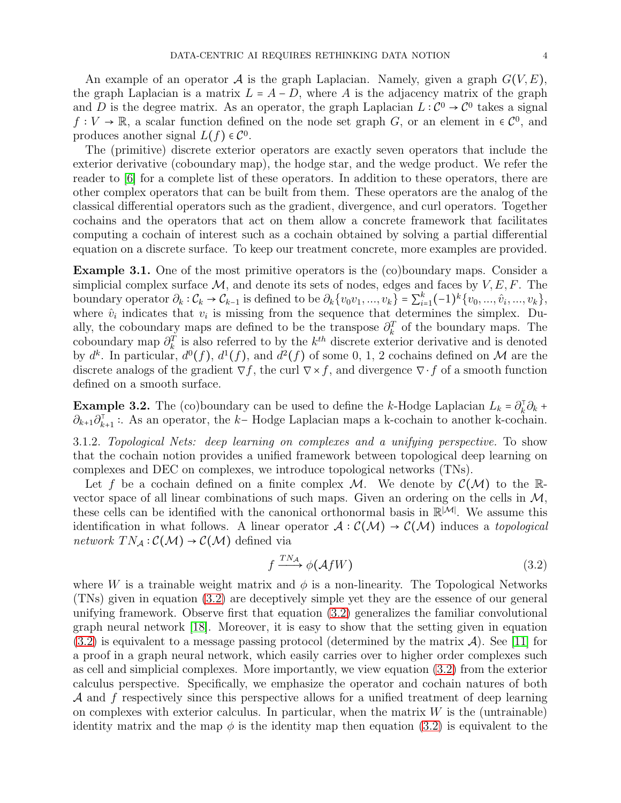An example of an operator A is the graph Laplacian. Namely, given a graph  $G(V, E)$ , the graph Laplacian is a matrix  $L = A - D$ , where A is the adjacency matrix of the graph and D is the degree matrix. As an operator, the graph Laplacian  $L: \mathcal{C}^0 \to \mathcal{C}^0$  takes a signal  $f: V \to \mathbb{R}$ , a scalar function defined on the node set graph G, or an element in  $\in \mathcal{C}^0$ , and produces another signal  $L(f) \in \mathcal{C}^0$ .

The (primitive) discrete exterior operators are exactly seven operators that include the exterior derivative (coboundary map), the hodge star, and the wedge product. We refer the reader to [\[6\]](#page-5-15) for a complete list of these operators. In addition to these operators, there are other complex operators that can be built from them. These operators are the analog of the classical differential operators such as the gradient, divergence, and curl operators. Together cochains and the operators that act on them allow a concrete framework that facilitates computing a cochain of interest such as a cochain obtained by solving a partial differential equation on a discrete surface. To keep our treatment concrete, more examples are provided.

Example 3.1. One of the most primitive operators is the (co)boundary maps. Consider a simplicial complex surface  $\mathcal{M}$ , and denote its sets of nodes, edges and faces by  $V, E, F$ . The boundary operator  $\partial_k : \mathcal{C}_k \to \mathcal{C}_{k-1}$  is defined to be  $\partial_k \{v_0v_1, ..., v_k\} = \sum_{i=1}^k (-1)^k \{v_0, ..., \hat{v}_i, ..., v_k\},$ where  $\hat{v}_i$  indicates that  $v_i$  is missing from the sequence that determines the simplex. Dually, the coboundary maps are defined to be the transpose  $\partial_k^T$  of the boundary maps. The coboundary map  $\partial_k^T$  is also referred to by the  $k^{th}$  discrete exterior derivative and is denoted by  $d^k$ . In particular,  $d^0(f)$ ,  $d^1(f)$ , and  $d^2(f)$  of some 0, 1, 2 cochains defined on M are the discrete analogs of the gradient  $\nabla f$ , the curl  $\nabla \times f$ , and divergence  $\nabla \cdot f$  of a smooth function defined on a smooth surface.

**Example 3.2.** The (co)boundary can be used to define the k-Hodge Laplacian  $L_k = \partial_k^T \partial_k +$  $\partial_{k+1}\partial_{k+1}^{\dagger}$ : As an operator, the k- Hodge Laplacian maps a k-cochain to another k-cochain.

3.1.2. *Topological Nets: deep learning on complexes and a unifying perspective.* To show that the cochain notion provides a unified framework between topological deep learning on complexes and DEC on complexes, we introduce topological networks (TNs).

Let f be a cochain defined on a finite complex M. We denote by  $\mathcal{C}(\mathcal{M})$  to the Rvector space of all linear combinations of such maps. Given an ordering on the cells in  $\mathcal{M}$ , these cells can be identified with the canonical orthonormal basis in  $\mathbb{R}^{|\mathcal{M}|}$ . We assume this identification in what follows. A linear operator  $A: C(\mathcal{M}) \to C(\mathcal{M})$  induces a *topological network*  $TN_A: \mathcal{C}(\mathcal{M}) \to \mathcal{C}(\mathcal{M})$  defined via

<span id="page-3-0"></span>
$$
f \xrightarrow{TN_{\mathcal{A}}} \phi(\mathcal{A}fW) \tag{3.2}
$$

where W is a trainable weight matrix and  $\phi$  is a non-linearity. The Topological Networks (TNs) given in equation [\(3.2\)](#page-3-0) are deceptively simple yet they are the essence of our general unifying framework. Observe first that equation [\(3.2\)](#page-3-0) generalizes the familiar convolutional graph neural network [\[18\]](#page-5-16). Moreover, it is easy to show that the setting given in equation  $(3.2)$  is equivalent to a message passing protocol (determined by the matrix A). See [\[11\]](#page-5-17) for a proof in a graph neural network, which easily carries over to higher order complexes such as cell and simplicial complexes. More importantly, we view equation [\(3.2\)](#page-3-0) from the exterior calculus perspective. Specifically, we emphasize the operator and cochain natures of both A and f respectively since this perspective allows for a unified treatment of deep learning on complexes with exterior calculus. In particular, when the matrix  $W$  is the (untrainable) identity matrix and the map  $\phi$  is the identity map then equation [\(3.2\)](#page-3-0) is equivalent to the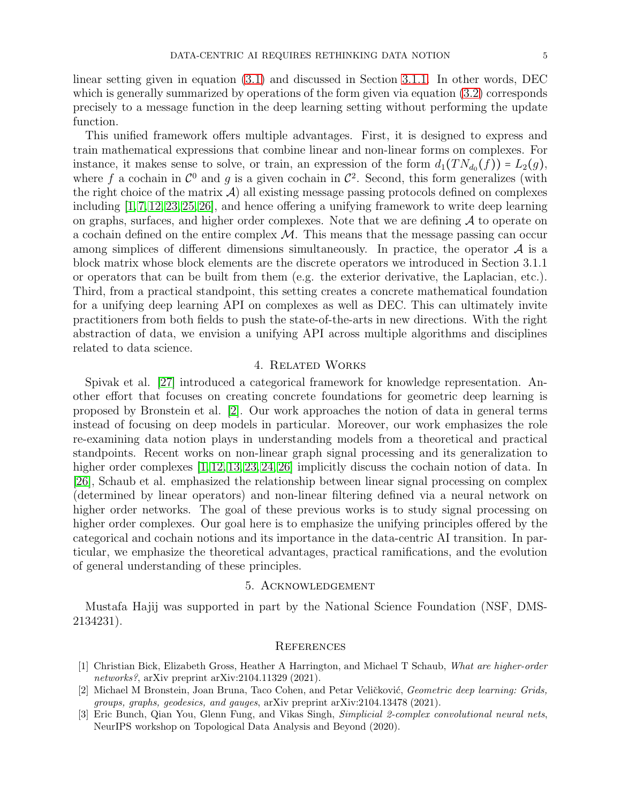linear setting given in equation [\(3.1\)](#page-2-2) and discussed in Section [3.1.1.](#page-2-3) In other words, DEC which is generally summarized by operations of the form given via equation [\(3.2\)](#page-3-0) corresponds precisely to a message function in the deep learning setting without performing the update function.

This unified framework offers multiple advantages. First, it is designed to express and train mathematical expressions that combine linear and non-linear forms on complexes. For instance, it makes sense to solve, or train, an expression of the form  $d_1(T N_{d_0}(f)) = L_2(g)$ , where f a cochain in  $\mathcal{C}^0$  and g is a given cochain in  $\mathcal{C}^2$ . Second, this form generalizes (with the right choice of the matrix  $\mathcal{A}$ ) all existing message passing protocols defined on complexes including [\[1,](#page-4-1)[7,](#page-5-10)[12,](#page-5-11)[23,](#page-5-18)[25,](#page-5-19)[26\]](#page-5-20), and hence offering a unifying framework to write deep learning on graphs, surfaces, and higher order complexes. Note that we are defining  $A$  to operate on a cochain defined on the entire complex  $\mathcal M$ . This means that the message passing can occur among simplices of different dimensions simultaneously. In practice, the operator  $\mathcal A$  is a block matrix whose block elements are the discrete operators we introduced in Section 3.1.1 or operators that can be built from them (e.g. the exterior derivative, the Laplacian, etc.). Third, from a practical standpoint, this setting creates a concrete mathematical foundation for a unifying deep learning API on complexes as well as DEC. This can ultimately invite practitioners from both fields to push the state-of-the-arts in new directions. With the right abstraction of data, we envision a unifying API across multiple algorithms and disciplines related to data science.

#### 4. Related Works

Spivak et al. [\[27\]](#page-5-21) introduced a categorical framework for knowledge representation. Another effort that focuses on creating concrete foundations for geometric deep learning is proposed by Bronstein et al. [\[2\]](#page-4-2). Our work approaches the notion of data in general terms instead of focusing on deep models in particular. Moreover, our work emphasizes the role re-examining data notion plays in understanding models from a theoretical and practical standpoints. Recent works on non-linear graph signal processing and its generalization to higher order complexes  $[1, 12, 13, 23, 24, 26]$  $[1, 12, 13, 23, 24, 26]$  $[1, 12, 13, 23, 24, 26]$  $[1, 12, 13, 23, 24, 26]$  $[1, 12, 13, 23, 24, 26]$  $[1, 12, 13, 23, 24, 26]$  implicitly discuss the cochain notion of data. In [\[26\]](#page-5-20), Schaub et al. emphasized the relationship between linear signal processing on complex (determined by linear operators) and non-linear filtering defined via a neural network on higher order networks. The goal of these previous works is to study signal processing on higher order complexes. Our goal here is to emphasize the unifying principles offered by the categorical and cochain notions and its importance in the data-centric AI transition. In particular, we emphasize the theoretical advantages, practical ramifications, and the evolution of general understanding of these principles.

## 5. Acknowledgement

Mustafa Hajij was supported in part by the National Science Foundation (NSF, DMS-2134231).

#### **REFERENCES**

- <span id="page-4-1"></span>[1] Christian Bick, Elizabeth Gross, Heather A Harrington, and Michael T Schaub, What are higher-order networks?, arXiv preprint arXiv:2104.11329 (2021).
- <span id="page-4-2"></span>[2] Michael M Bronstein, Joan Bruna, Taco Cohen, and Petar Veličković, Geometric deep learning: Grids, groups, graphs, geodesics, and gauges, arXiv preprint arXiv:2104.13478 (2021).
- <span id="page-4-0"></span>[3] Eric Bunch, Qian You, Glenn Fung, and Vikas Singh, Simplicial 2-complex convolutional neural nets, NeurIPS workshop on Topological Data Analysis and Beyond (2020).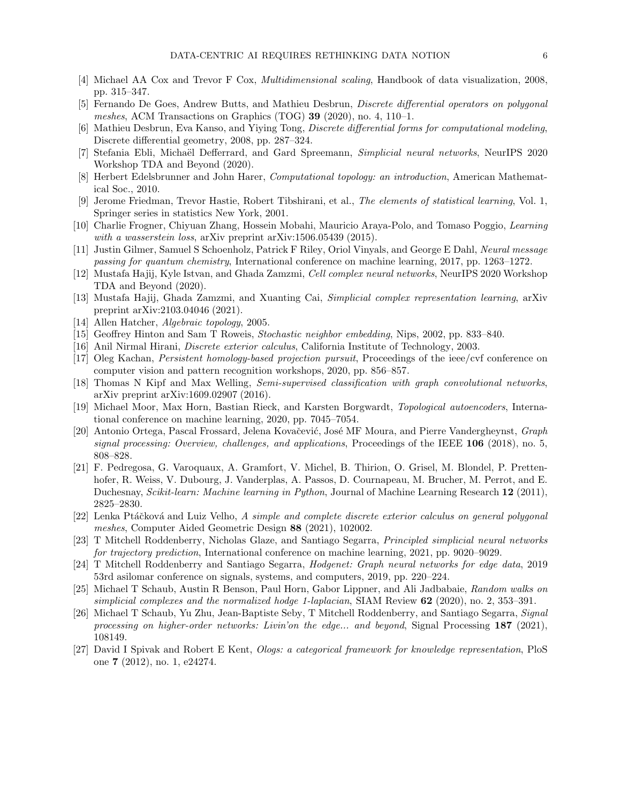- <span id="page-5-2"></span>[4] Michael AA Cox and Trevor F Cox, Multidimensional scaling, Handbook of data visualization, 2008, pp. 315–347.
- <span id="page-5-12"></span>[5] Fernando De Goes, Andrew Butts, and Mathieu Desbrun, Discrete differential operators on polygonal meshes, ACM Transactions on Graphics (TOG) 39 (2020), no. 4, 110-1.
- <span id="page-5-15"></span>[6] Mathieu Desbrun, Eva Kanso, and Yiying Tong, Discrete differential forms for computational modeling, Discrete differential geometry, 2008, pp. 287–324.
- <span id="page-5-10"></span>[7] Stefania Ebli, Michaël Defferrard, and Gard Spreemann, *Simplicial neural networks*, NeurIPS 2020 Workshop TDA and Beyond (2020).
- <span id="page-5-4"></span>[8] Herbert Edelsbrunner and John Harer, Computational topology: an introduction, American Mathematical Soc., 2010.
- <span id="page-5-0"></span>[9] Jerome Friedman, Trevor Hastie, Robert Tibshirani, et al., The elements of statistical learning, Vol. 1, Springer series in statistics New York, 2001.
- <span id="page-5-7"></span>[10] Charlie Frogner, Chiyuan Zhang, Hossein Mobahi, Mauricio Araya-Polo, and Tomaso Poggio, Learning with a wasserstein loss, arXiv preprint arXiv:1506.05439 (2015).
- <span id="page-5-17"></span>[11] Justin Gilmer, Samuel S Schoenholz, Patrick F Riley, Oriol Vinyals, and George E Dahl, Neural message passing for quantum chemistry, International conference on machine learning, 2017, pp. 1263–1272.
- <span id="page-5-11"></span>[12] Mustafa Hajij, Kyle Istvan, and Ghada Zamzmi, Cell complex neural networks, NeurIPS 2020 Workshop TDA and Beyond (2020).
- <span id="page-5-22"></span>[13] Mustafa Hajij, Ghada Zamzmi, and Xuanting Cai, Simplicial complex representation learning, arXiv preprint arXiv:2103.04046 (2021).
- <span id="page-5-8"></span>[14] Allen Hatcher, Algebraic topology, 2005.
- <span id="page-5-3"></span>[15] Geoffrey Hinton and Sam T Roweis, Stochastic neighbor embedding, Nips, 2002, pp. 833–840.
- <span id="page-5-13"></span>[16] Anil Nirmal Hirani, Discrete exterior calculus, California Institute of Technology, 2003.
- <span id="page-5-5"></span>[17] Oleg Kachan, Persistent homology-based projection pursuit, Proceedings of the ieee/cvf conference on computer vision and pattern recognition workshops, 2020, pp. 856–857.
- <span id="page-5-16"></span>[18] Thomas N Kipf and Max Welling, Semi-supervised classification with graph convolutional networks, arXiv preprint arXiv:1609.02907 (2016).
- <span id="page-5-6"></span>[19] Michael Moor, Max Horn, Bastian Rieck, and Karsten Borgwardt, Topological autoencoders, International conference on machine learning, 2020, pp. 7045–7054.
- <span id="page-5-9"></span>[20] Antonio Ortega, Pascal Frossard, Jelena Kovačević, José MF Moura, and Pierre Vandergheynst, Graph signal processing: Overview, challenges, and applications, Proceedings of the IEEE  $106$  (2018), no. 5, 808–828.
- <span id="page-5-1"></span>[21] F. Pedregosa, G. Varoquaux, A. Gramfort, V. Michel, B. Thirion, O. Grisel, M. Blondel, P. Prettenhofer, R. Weiss, V. Dubourg, J. Vanderplas, A. Passos, D. Cournapeau, M. Brucher, M. Perrot, and E. Duchesnay, Scikit-learn: Machine learning in Python, Journal of Machine Learning Research 12 (2011), 2825–2830.
- <span id="page-5-14"></span>[22] Lenka Ptáčková and Luiz Velho, A simple and complete discrete exterior calculus on general polygonal meshes, Computer Aided Geometric Design 88 (2021), 102002.
- <span id="page-5-18"></span>[23] T Mitchell Roddenberry, Nicholas Glaze, and Santiago Segarra, Principled simplicial neural networks for trajectory prediction, International conference on machine learning, 2021, pp. 9020–9029.
- <span id="page-5-23"></span>[24] T Mitchell Roddenberry and Santiago Segarra, Hodgenet: Graph neural networks for edge data, 2019 53rd asilomar conference on signals, systems, and computers, 2019, pp. 220–224.
- <span id="page-5-19"></span>[25] Michael T Schaub, Austin R Benson, Paul Horn, Gabor Lippner, and Ali Jadbabaie, Random walks on simplicial complexes and the normalized hodge 1-laplacian, SIAM Review 62 (2020), no. 2, 353-391.
- <span id="page-5-20"></span>[26] Michael T Schaub, Yu Zhu, Jean-Baptiste Seby, T Mitchell Roddenberry, and Santiago Segarra, Signal processing on higher-order networks: Livin'on the edge... and beyond, Signal Processing 187 (2021), 108149.
- <span id="page-5-21"></span>[27] David I Spivak and Robert E Kent, Ologs: a categorical framework for knowledge representation, PloS one 7 (2012), no. 1, e24274.